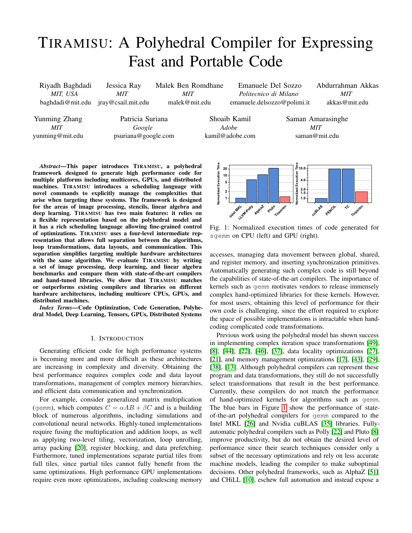# TIRAMISU: A Polyhedral Compiler for Expressing Fast and Portable Code

| Riyadh Baghdadi      | Jessica Ray         | Malek Ben Romdhane |                 | Emanuele Del Sozzo          |               | Abdurrahman Akkas |  |
|----------------------|---------------------|--------------------|-----------------|-----------------------------|---------------|-------------------|--|
| MIT. USA             | <b>MIT</b>          | MIT                |                 | Politecnico di Milano       |               | MIT               |  |
| baghdadi@mit.edu     | jray@csail.mit.edu  | malek@mit.edu      |                 | emanuele.delsozzo@polimi.it |               | akkas@mit.edu     |  |
|                      |                     |                    |                 |                             |               |                   |  |
| <b>Yunming Zhang</b> | Patricia Suriana    |                    |                 | Shoaib Kamil                |               | Saman Amarasinghe |  |
| MIT                  | Google              |                    | Adobe           |                             |               | <b>MIT</b>        |  |
| yunming@mit.edu      | psuriana@google.com |                    | kamil@adobe.com |                             | saman@mit.edu |                   |  |

*Abstract*—This paper introduces TIRAMISU, a polyhedral framework designed to generate high performance code for multiple platforms including multicores, GPUs, and distributed machines. TIRAMISU introduces a scheduling language with novel commands to explicitly manage the complexities that arise when targeting these systems. The framework is designed for the areas of image processing, stencils, linear algebra and deep learning. TIRAMISU has two main features: it relies on a flexible representation based on the polyhedral model and it has a rich scheduling language allowing fine-grained control of optimizations. TIRAMISU uses a four-level intermediate representation that allows full separation between the algorithms, loop transformations, data layouts, and communication. This separation simplifies targeting multiple hardware architectures with the same algorithm. We evaluate TIRAMISU by writing a set of image processing, deep learning, and linear algebra benchmarks and compare them with state-of-the-art compilers and hand-tuned libraries. We show that TIRAMISU matches or outperforms existing compilers and libraries on different hardware architectures, including multicore CPUs, GPUs, and distributed machines.

*Index Terms*—Code Optimization, Code Generation, Polyhedral Model, Deep Learning, Tensors, GPUs, Distributed Systems

## I. INTRODUCTION

Generating efficient code for high performance systems is becoming more and more difficult as these architectures are increasing in complexity and diversity. Obtaining the best performance requires complex code and data layout transformations, management of complex memory hierarchies, and efficient data communication and synchronization.

For example, consider generalized matrix multiplication (gemm), which computes  $C = \alpha AB + \beta C$  and is a building block of numerous algorithms, including simulations and convolutional neural networks. Highly-tuned implementations require fusing the multiplication and addition loops, as well as applying two-level tiling, vectorization, loop unrolling, array packing [\[20\]](#page-12-0), register blocking, and data prefetching. Furthermore, tuned implementations separate partial tiles from full tiles, since partial tiles cannot fully benefit from the same optimizations. High performance GPU implementations require even more optimizations, including coalescing memory

<span id="page-0-0"></span>

Fig. 1: Normalized execution times of code generated for sgemm on CPU (left) and GPU (right).

accesses, managing data movement between global, shared, and register memory, and inserting synchronization primitives. Automatically generating such complex code is still beyond the capabilities of state-of-the-art compilers. The importance of kernels such as gemm motivates vendors to release immensely complex hand-optimized libraries for these kernels. However, for most users, obtaining this level of performance for their own code is challenging, since the effort required to explore the space of possible implementations is intractable when handcoding complicated code transformations.

Previous work using the polyhedral model has shown success in implementing complex iteration space transformations [\[49\]](#page-12-1), [\[8\]](#page-11-0), [\[44\]](#page-12-2), [\[22\]](#page-12-3), [\[46\]](#page-12-4), [\[37\]](#page-12-5), data locality optimizations [\[27\]](#page-12-6), [\[21\]](#page-12-7), and memory management optimizations [\[17\]](#page-12-8), [\[43\]](#page-12-9), [\[29\]](#page-12-10), [\[38\]](#page-12-11), [\[13\]](#page-11-1). Although polyhedral compilers can represent these program and data transformations, they still do not successfully select transformations that result in the best performance. Currently, these compilers do not match the performance of hand-optimized kernels for algorithms such as gemm. The blue bars in Figure [1](#page-0-0) show the performance of stateof-the-art polyhedral compilers for gemm compared to the Intel MKL [\[26\]](#page-12-12) and Nvidia cuBLAS [\[35\]](#page-12-13) libraries. Fullyautomatic polyhedral compilers such as Polly [\[22\]](#page-12-3) and Pluto [\[8\]](#page-11-0) improve productivity, but do not obtain the desired level of performance since their search techniques consider only a subset of the necessary optimizations and rely on less accurate machine models, leading the compiler to make suboptimal decisions. Other polyhedral frameworks, such as AlphaZ [\[51\]](#page-12-14) and CHiLL [\[10\]](#page-11-2), eschew full automation and instead expose a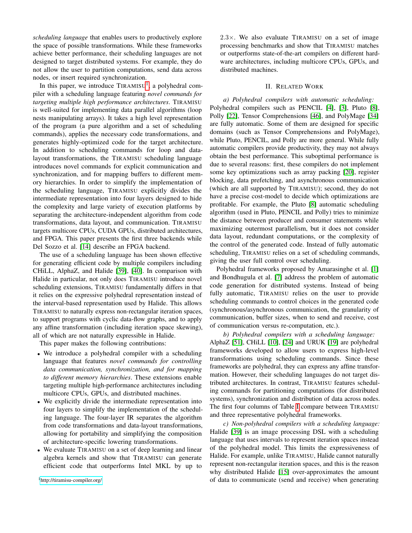*scheduling language* that enables users to productively explore the space of possible transformations. While these frameworks achieve better performance, their scheduling languages are not designed to target distributed systems. For example, they do not allow the user to partition computations, send data across nodes, or insert required synchronization.

In this paper, we introduce  $TIRAMISU<sup>1</sup>$  $TIRAMISU<sup>1</sup>$  $TIRAMISU<sup>1</sup>$ , a polyhedral compiler with a scheduling language featuring *novel commands for targeting multiple high performance architectures*. TIRAMISU is well-suited for implementing data parallel algorithms (loop nests manipulating arrays). It takes a high level representation of the program (a pure algorithm and a set of scheduling commands), applies the necessary code transformations, and generates highly-optimized code for the target architecture. In addition to scheduling commands for loop and datalayout transformations, the TIRAMISU scheduling language introduces novel commands for explicit communication and synchronization, and for mapping buffers to different memory hierarchies. In order to simplify the implementation of the scheduling language, TIRAMISU explicitly divides the intermediate representation into four layers designed to hide the complexity and large variety of execution platforms by separating the architecture-independent algorithm from code transformations, data layout, and communication. TIRAMISU targets multicore CPUs, CUDA GPUs, distributed architectures, and FPGA. This paper presents the first three backends while Del Sozzo et al. [\[14\]](#page-11-3) describe an FPGA backend.

The use of a scheduling language has been shown effective for generating efficient code by multiple compilers including CHiLL, AlphaZ, and Halide [\[39\]](#page-12-15), [\[40\]](#page-12-16). In comparison with Halide in particular, not only does TIRAMISU introduce novel scheduling extensions, TIRAMISU fundamentally differs in that it relies on the expressive polyhedral representation instead of the interval-based representation used by Halide. This allows TIRAMISU to naturally express non-rectangular iteration spaces, to support programs with cyclic data-flow graphs, and to apply any affine transformation (including iteration space skewing), all of which are not naturally expressible in Halide.

This paper makes the following contributions:

- We introduce a polyhedral compiler with a scheduling language that features *novel commands for controlling data communication, synchronization, and for mapping to different memory hierarchies*. These extensions enable targeting multiple high-performance architectures including multicore CPUs, GPUs, and distributed machines.
- We explicitly divide the intermediate representation into four layers to simplify the implementation of the scheduling language. The four-layer IR separates the algorithm from code transformations and data-layout transformations, allowing for portability and simplifying the composition of architecture-specific lowering transformations.
- We evaluate TIRAMISU on a set of deep learning and linear algebra kernels and show that TIRAMISU can generate efficient code that outperforms Intel MKL by up to

<span id="page-1-0"></span><sup>1</sup><http://tiramisu-compiler.org/>

 $2.3\times$ . We also evaluate TIRAMISU on a set of image processing benchmarks and show that TIRAMISU matches or outperforms state-of-the-art compilers on different hardware architectures, including multicore CPUs, GPUs, and distributed machines.

## II. RELATED WORK

*a) Polyhedral compilers with automatic scheduling:* Polyhedral compilers such as PENCIL [\[4\]](#page-11-4), [\[3\]](#page-11-5), Pluto [\[8\]](#page-11-0), Polly [\[22\]](#page-12-3), Tensor Comprehensions [\[46\]](#page-12-4), and PolyMage [\[34\]](#page-12-17) are fully automatic. Some of them are designed for specific domains (such as Tensor Comprehensions and PolyMage), while Pluto, PENCIL, and Polly are more general. While fully automatic compilers provide productivity, they may not always obtain the best performance. This suboptimal performance is due to several reasons: first, these compilers do not implement some key optimizations such as array packing [\[20\]](#page-12-0), register blocking, data prefetching, and asynchronous communication (which are all supported by TIRAMISU); second, they do not have a precise cost-model to decide which optimizations are profitable. For example, the Pluto [\[8\]](#page-11-0) automatic scheduling algorithm (used in Pluto, PENCIL and Polly) tries to minimize the distance between producer and consumer statements while maximizing outermost parallelism, but it does not consider data layout, redundant computations, or the complexity of the control of the generated code. Instead of fully automatic scheduling, TIRAMISU relies on a set of scheduling commands, giving the user full control over scheduling.

Polyhedral frameworks proposed by Amarasinghe et al. [\[1\]](#page-11-6) and Bondhugula et al. [\[7\]](#page-11-7) address the problem of automatic code generation for distributed systems. Instead of being fully automatic, TIRAMISU relies on the user to provide scheduling commands to control choices in the generated code (synchronous/asynchronous communication, the granularity of communication, buffer sizes, when to send and receive, cost of communication versus re-computation, etc.).

*b) Polyhedral compilers with a scheduling language:* AlphaZ [\[51\]](#page-12-14), CHiLL [\[10\]](#page-11-2), [\[24\]](#page-12-18) and URUK [\[19\]](#page-12-19) are polyhedral frameworks developed to allow users to express high-level transformations using scheduling commands. Since these frameworks are polyhedral, they can express any affine transformation. However, their scheduling languages do not target distributed architectures. In contrast, TIRAMISU features scheduling commands for partitioning computations (for distributed systems), synchronization and distribution of data across nodes. The first four columns of Table [I](#page-2-0) compare between TIRAMISU and three representative polyhedral frameworks.

*c) Non-polyhedral compilers with a scheduling language:* Halide [\[39\]](#page-12-15) is an image processing DSL with a scheduling language that uses intervals to represent iteration spaces instead of the polyhedral model. This limits the expressiveness of Halide. For example, unlike TIRAMISU, Halide cannot naturally represent non-rectangular iteration spaces, and this is the reason why distributed Halide [\[15\]](#page-11-8) over-approximates the amount of data to communicate (send and receive) when generating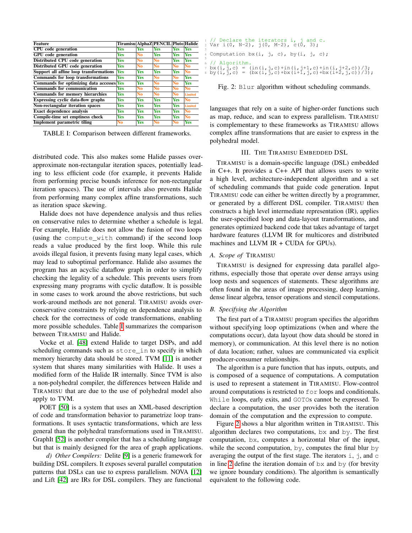<span id="page-2-0"></span>

| <b>Feature</b>                            |            |                | Tiramisu AlphaZ PENCIL Pluto Halide |                |                |
|-------------------------------------------|------------|----------------|-------------------------------------|----------------|----------------|
| <b>CPU</b> code generation                | <b>Yes</b> | <b>Yes</b>     | <b>Yes</b>                          | <b>Yes</b>     | <b>Yes</b>     |
| <b>GPU</b> code generation                | <b>Yes</b> | N <sub>0</sub> | <b>Yes</b>                          | <b>Yes</b>     | <b>Yes</b>     |
| Distributed CPU code generation           | <b>Yes</b> | N <sub>0</sub> | N <sub>0</sub>                      | <b>Yes</b>     | <b>Yes</b>     |
| Distributed GPU code generation           | <b>Yes</b> | N <sub>0</sub> | N <sub>0</sub>                      | N <sub>0</sub> | N <sub>0</sub> |
| Support all affine loop transformations   | <b>Yes</b> | <b>Yes</b>     | <b>Yes</b>                          | <b>Yes</b>     | No             |
| Commands for loop transformations         | <b>Yes</b> | <b>Yes</b>     | N <sub>0</sub>                      | N <sub>0</sub> | Yes            |
| Commands for optimizing data accesses Yes |            | <b>Yes</b>     | N <sub>0</sub>                      | N <sub>0</sub> | <b>Yes</b>     |
| Commands for communication                | <b>Yes</b> | N <sub>0</sub> | No                                  | No             | N <sub>0</sub> |
| Commands for memory hierarchies           | <b>Yes</b> | N <sub>0</sub> | N <sub>0</sub>                      | N <sub>0</sub> | Limited        |
| <b>Expressing cyclic data-flow graphs</b> | <b>Yes</b> | <b>Yes</b>     | <b>Yes</b>                          | <b>Yes</b>     | No             |
| Non-rectangular iteration spaces          | <b>Yes</b> | <b>Yes</b>     | <b>Yes</b>                          | <b>Yes</b>     | Limited        |
| <b>Exact dependence analysis</b>          | <b>Yes</b> | <b>Yes</b>     | <b>Yes</b>                          | <b>Yes</b>     | N <sub>0</sub> |
| Compile-time set emptiness check          | <b>Yes</b> | Yes            | <b>Yes</b>                          | <b>Yes</b>     | N <sub>0</sub> |
| <b>Implement parametric tiling</b>        | No         | <b>Yes</b>     | No                                  | No             | <b>Yes</b>     |

TABLE I: Comparison between different frameworks.

distributed code. This also makes some Halide passes overapproximate non-rectangular iteration spaces, potentially leading to less efficient code (for example, it prevents Halide from performing precise bounds inference for non-rectangular iteration spaces). The use of intervals also prevents Halide from performing many complex affine transformations, such as iteration space skewing.

Halide does not have dependence analysis and thus relies on conservative rules to determine whether a schedule is legal. For example, Halide does not allow the fusion of two loops (using the compute\_with command) if the second loop reads a value produced by the first loop. While this rule avoids illegal fusion, it prevents fusing many legal cases, which may lead to suboptimal performance. Halide also assumes the program has an acyclic dataflow graph in order to simplify checking the legality of a schedule. This prevents users from expressing many programs with cyclic dataflow. It is possible in some cases to work around the above restrictions, but such work-around methods are not general. TIRAMISU avoids overconservative constraints by relying on dependence analysis to check for the correctness of code transformations, enabling more possible schedules. Table [I](#page-2-0) summarizes the comparison between TIRAMISU and Halide.

Vocke et al. [\[48\]](#page-12-20) extend Halide to target DSPs, and add scheduling commands such as store\_in to specify in which memory hierarchy data should be stored. TVM [\[11\]](#page-11-9) is another system that shares many similarities with Halide. It uses a modified form of the Halide IR internally. Since TVM is also a non-polyhedral compiler, the differences between Halide and TIRAMISU that are due to the use of polyhedral model also apply to TVM.

POET [\[50\]](#page-12-21) is a system that uses an XML-based description of code and transformation behavior to parametrize loop transformations. It uses syntactic transformations, which are less general than the polyhedral transformations used in TIRAMISU. GraphIt [\[52\]](#page-12-22) is another compiler that has a scheduling language but that is mainly designed for the area of graph applications.

*d) Other Compilers:* Delite [\[9\]](#page-11-10) is a generic framework for building DSL compilers. It exposes several parallel computation patterns that DSLs can use to express parallelism. NOVA [\[12\]](#page-11-11) and Lift [\[42\]](#page-12-23) are IRs for DSL compilers. They are functional

<span id="page-2-2"></span><span id="page-2-1"></span>

| 1// Declare the iterators i, j and c.<br>2 Var i(0, N-2), j(0, M-2), c(0, 3); |
|-------------------------------------------------------------------------------|
| 4 Computation $bx(i, j, c), by(i, j, c);$                                     |
| $6$ // Algorithm.                                                             |
| $\tau$ bx(i, j, c) = (in(i, j, c) +in(i, j+1, c) +in(i, j+2, c))/3;           |
| s by (i, j, c) = (bx (i, j, c) +bx (i+1, j, c) +bx (i+2, j, c) ) /3);         |

Fig. 2: Blur algorithm without scheduling commands.

languages that rely on a suite of higher-order functions such as map, reduce, and scan to express parallelism. TIRAMISU is complementary to these frameworks as TIRAMISU allows complex affine transformations that are easier to express in the polyhedral model.

## III. THE TIRAMISU EMBEDDED DSL

TIRAMISU is a domain-specific language (DSL) embedded in C++. It provides a C++ API that allows users to write a high level, architecture-independent algorithm and a set of scheduling commands that guide code generation. Input TIRAMISU code can either be written directly by a programmer, or generated by a different DSL compiler. TIRAMISU then constructs a high level intermediate representation (IR), applies the user-specified loop and data-layout transformations, and generates optimized backend code that takes advantage of target hardware features (LLVM IR for multicores and distributed machines and LLVM IR + CUDA for GPUs).

## *A. Scope of* TIRAMISU

TIRAMISU is designed for expressing data parallel algorithms, especially those that operate over dense arrays using loop nests and sequences of statements. These algorithms are often found in the areas of image processing, deep learning, dense linear algebra, tensor operations and stencil computations.

## *B. Specifying the Algorithm*

The first part of a TIRAMISU program specifies the algorithm without specifying loop optimizations (when and where the computations occur), data layout (how data should be stored in memory), or communication. At this level there is no notion of data location; rather, values are communicated via explicit producer-consumer relationships.

The algorithm is a pure function that has inputs, outputs, and is composed of a sequence of computations. A computation is used to represent a statement in TIRAMISU. Flow-control around computations is restricted to for loops and conditionals. While loops, early exits, and GOTOs cannot be expressed. To declare a computation, the user provides both the iteration domain of the computation and the expression to compute.

Figure [2](#page-2-1) shows a blur algorithm written in TIRAMISU. This algorithm declares two computations, bx and by. The first computation, bx, computes a horizontal blur of the input, while the second computation,  $by$ , computes the final blur  $by$ averaging the output of the first stage. The iterators  $\pm$ ,  $\pm$ , and  $\pm$ in line [2](#page-2-2) define the iteration domain of bx and by (for brevity we ignore boundary conditions). The algorithm is semantically equivalent to the following code.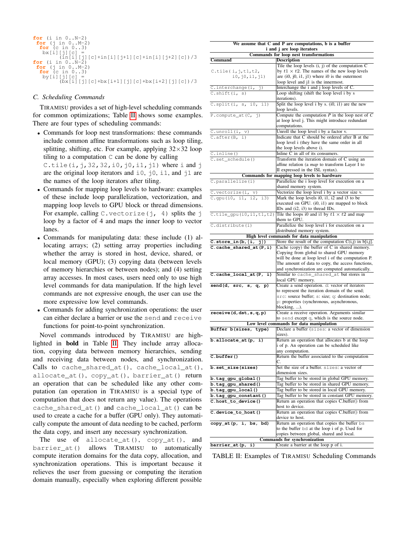| <b>for</b> (i in $0N-2$ )                     |
|-----------------------------------------------|
| <b>for</b> $(i \text{ in } 0M-2)$             |
| <b>for</b> $(c \in [0, 0, 0, 3)$              |
| $bx[i][i][c] =$                               |
| $(in[i][i][c]+in[i][i+1][c]+in[i][i+2][c])/3$ |
| <b>for</b> $(i \text{ in } 0N-2)$             |
| <b>for</b> $(i \text{ in } 0M-2)$             |
| <b>for</b> $(c \in [0, 0, 0, 3)$              |
| $by[i][i][c] =$                               |
| $(bx[i][i][c]+bx[i+1][i][c]+bx[i+2][i][c])/3$ |

## *C. Scheduling Commands*

TIRAMISU provides a set of high-level scheduling commands for common optimizations; Table [II](#page-3-0) shows some examples. There are four types of scheduling commands:

• Commands for loop nest transformations: these commands include common affine transformations such as loop tiling, splitting, shifting, etc. For example, applying  $32\times32$  loop tiling to a computation  $C$  can be done by calling

C.tile(i,  $j$ , 32, 32, i0,  $j0$ , i1,  $j1$ ) where i and  $j$ are the original loop iterators and  $\pm 0$ ,  $\pm 0$ ,  $\pm 1$ , and  $\pm 1$  are the names of the loop iterators after tiling.

- Commands for mapping loop levels to hardware: examples of these include loop parallelization, vectorization, and mapping loop levels to GPU block or thread dimensions. For example, calling C.vectorize(j, 4) splits the j loop by a factor of 4 and maps the inner loop to vector lanes.
- Commands for manipulating data: these include (1) allocating arrays; (2) setting array properties including whether the array is stored in host, device, shared, or local memory (GPU); (3) copying data (between levels of memory hierarchies or between nodes); and (4) setting array accesses. In most cases, users need only to use high level commands for data manipulation. If the high level commands are not expressive enough, the user can use the more expressive low level commands.
- Commands for adding synchronization operations: the user can either declare a barrier or use the send and receive functions for point-to-point synchronization.

Novel commands introduced by TIRAMISU are highlighted in bold in Table [II.](#page-3-0) They include array allocation, copying data between memory hierarchies, sending and receiving data between nodes, and synchronization. Calls to cache shared at (), cache local at (), allocate\_at(), copy\_at(), barrier\_at() return an operation that can be scheduled like any other computation (an operation in TIRAMISU is a special type of computation that does not return any value). The operations cache\_shared\_at() and cache\_local\_at() can be used to create a cache for a buffer (GPU only). They automatically compute the amount of data needing to be cached, perform the data copy, and insert any necessary synchronization.

The use of allocate\_at(), copy\_at(), and barrier\_at() allows TIRAMISU to automatically compute iteration domains for the data copy, allocation, and synchronization operations. This is important because it relieves the user from guessing or computing the iteration domain manually, especially when exploring different possible

<span id="page-3-0"></span>

| We assume that C and P are computations, b is a buffer<br>i and j are loop iterators |                                                                                                                                                                                                         |  |  |  |  |  |
|--------------------------------------------------------------------------------------|---------------------------------------------------------------------------------------------------------------------------------------------------------------------------------------------------------|--|--|--|--|--|
|                                                                                      | Commands for loop nest transformations                                                                                                                                                                  |  |  |  |  |  |
| <b>Command</b>                                                                       | <b>Description</b>                                                                                                                                                                                      |  |  |  |  |  |
| C.tile(i,j,t1,t2,                                                                    | Tile the loop levels $(i, j)$ of the computation $C$<br>by $t1 \times t2$ . The names of the new loop levels                                                                                            |  |  |  |  |  |
| i0, j0, i1, j1)                                                                      | are $(i0, j0, i1, j1)$ where $i0$ is the outermost<br>loop level and j1 is the innermost.                                                                                                               |  |  |  |  |  |
| C.interchange(i,<br>j)                                                               | Interchange the i and j loop levels of C.                                                                                                                                                               |  |  |  |  |  |
| C.shift(i, s)                                                                        | Loop shifting (shift the loop level i by s<br>iterations).                                                                                                                                              |  |  |  |  |  |
| $C.\text{split}(i, s, i0, i1)$                                                       | Split the loop level i by s. (i0, i1) are the new<br>loop levels.                                                                                                                                       |  |  |  |  |  |
| P.compute_at( $C$ , j)                                                               | Compute the computation $P$ in the loop nest of $C$<br>at loop level j. This might introduce redundant                                                                                                  |  |  |  |  |  |
|                                                                                      | computations.                                                                                                                                                                                           |  |  |  |  |  |
| $\overline{C.unroll(i, v)}$                                                          | Unroll the loop level i by a factor v.                                                                                                                                                                  |  |  |  |  |  |
| $C \cdot \text{after}(B, i)$                                                         | Indicate that C should be ordered after B at the<br>loop level i (they have the same order in all<br>the loop levels above i).                                                                          |  |  |  |  |  |
| $C.\in$ inline $()$                                                                  | Inline C in all of its consumers.                                                                                                                                                                       |  |  |  |  |  |
| C.set_schedule()                                                                     | Transform the iteration domain of C using an<br>affine relation (a <i>map</i> to transform Layer I to                                                                                                   |  |  |  |  |  |
|                                                                                      | II expressed in the ISL syntax).                                                                                                                                                                        |  |  |  |  |  |
|                                                                                      | Commands for mapping loop levels to hardware                                                                                                                                                            |  |  |  |  |  |
| C.parallelize(i)                                                                     | Parallelize the <i>i</i> loop level for execution on a                                                                                                                                                  |  |  |  |  |  |
|                                                                                      | shared memory system.                                                                                                                                                                                   |  |  |  |  |  |
| $C.\nvectorize(i, v)$                                                                | Vectorize the loop level i by a vector size v.                                                                                                                                                          |  |  |  |  |  |
| C.gpu(i0, i1, i2, i3)                                                                | Mark the loop levels i0, i1, i2 and i3 to be                                                                                                                                                            |  |  |  |  |  |
|                                                                                      | executed on GPU. (i0, i1) are mapped to block<br>IDs and (i2, i3) to thread IDs.                                                                                                                        |  |  |  |  |  |
| $C.title_qpu(i0, i1, t1, t2)$                                                        | Tile the loops i0 and i1 by $t1 \times t2$ and map<br>them to GPU.                                                                                                                                      |  |  |  |  |  |
| $\overline{C.distribute(i)}$                                                         | Parallelize the loop level i for execution on a<br>distributed memory system.                                                                                                                           |  |  |  |  |  |
|                                                                                      | High level commands for data manipulation                                                                                                                                                               |  |  |  |  |  |
| C.store_in(b, $\{i, j\}$ )                                                           | Store the result of the computation $C(i,j)$ in $b[i,j]$ .                                                                                                                                              |  |  |  |  |  |
| $C$ .cache_shared_at $(P, i)$                                                        | Cache (copy) the buffer of $C$ in shared memory.<br>Copying from global to shared GPU memory<br>will be done at loop level i of the computation P.<br>The amount of data to copy, the access functions, |  |  |  |  |  |
| $C.cache\_local_at(P, i)$                                                            | and synchronization are computed automatically.<br>Similar to cache_shared_at but stores in<br>local GPU memory.                                                                                        |  |  |  |  |  |
| send(d, src, s, q, p)                                                                | Create a send operation. d: vector of iterators                                                                                                                                                         |  |  |  |  |  |
|                                                                                      | to represent the iteration domain of the send;<br>src: source buffer; s: size; q: destination node;<br>p: properties (synchronous, asynchronous,<br>blocking, ).                                        |  |  |  |  |  |
| receive(d,dst,s,q,p)                                                                 | Create a receive operation. Arguments similar                                                                                                                                                           |  |  |  |  |  |
|                                                                                      | to send except q, which is the source node.                                                                                                                                                             |  |  |  |  |  |
|                                                                                      | Low level commands for data manipulation                                                                                                                                                                |  |  |  |  |  |
| Buffer b(sizes, type)                                                                | Declare a buffer (sizes: a vector of dimension<br>sizes).                                                                                                                                               |  |  |  |  |  |
| b.allocate_at(p, i)                                                                  | Return an operation that allocates b at the loop<br>i of p. An operation can be scheduled like<br>any computation.                                                                                      |  |  |  |  |  |
| C.buffer()                                                                           | Return the buffer associated to the computation<br>C.                                                                                                                                                   |  |  |  |  |  |
| b.set_size(sizes)                                                                    | Set the size of a buffer. sizes: a vector of<br>dimension sizes.                                                                                                                                        |  |  |  |  |  |
| b.tag_gpu_global()                                                                   | Tag buffer to be stored in global GPU memory.                                                                                                                                                           |  |  |  |  |  |
| b.tag_gpu_shared()                                                                   | Tag buffer to be stored in shared GPU memory.                                                                                                                                                           |  |  |  |  |  |
| b.tag_gpu_local()                                                                    | Tag buffer to be stored in local GPU memory.                                                                                                                                                            |  |  |  |  |  |
| b.tag_gpu_constant()                                                                 | Tag buffer to be stored in constant GPU memory.                                                                                                                                                         |  |  |  |  |  |
| C.host_to_device()                                                                   | Return an operation that copies C.buffer() from<br>host to device.                                                                                                                                      |  |  |  |  |  |
| C.device_to_host()                                                                   | Return an operation that copies C.buffer() from<br>device to host.                                                                                                                                      |  |  |  |  |  |
| $copy_at(p, i, bs, bd)$                                                              | Return an operation that copies the buffer bs                                                                                                                                                           |  |  |  |  |  |
|                                                                                      | to the buffer bd at the loop i of p. Used for<br>copies between global, shared and local.                                                                                                               |  |  |  |  |  |
|                                                                                      | <b>Commands for synchronization</b>                                                                                                                                                                     |  |  |  |  |  |
| barrier_at(p, i)                                                                     | Create a barrier at the loop p of i.                                                                                                                                                                    |  |  |  |  |  |

TABLE II: Examples of TIRAMISU Scheduling Commands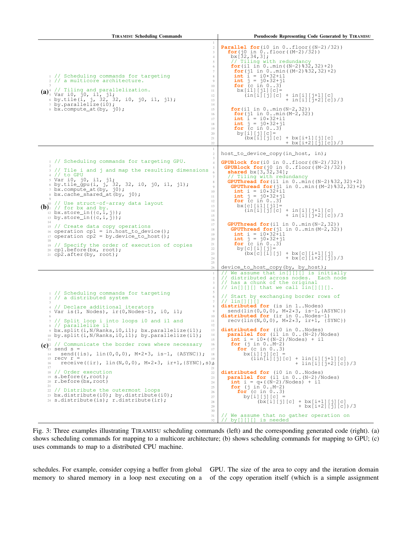<span id="page-4-0"></span>

| <b>TIRAMISU Scheduling Commands</b>                                                                                                                                                                                                                                                                                                                                                                                                                                                                                                                                                                                                                                                                                                                                                                                                                                                                                                                                                                                                                 | <b>Pseudocode Representing Code Generated by TIRAMISU</b>                                                                                                                                                                                                                                                                                                                                                                                                                                                                                                                                                                                                                                                                                                                                                                                                                                                                                                                                                                                                                                                      |  |  |  |  |
|-----------------------------------------------------------------------------------------------------------------------------------------------------------------------------------------------------------------------------------------------------------------------------------------------------------------------------------------------------------------------------------------------------------------------------------------------------------------------------------------------------------------------------------------------------------------------------------------------------------------------------------------------------------------------------------------------------------------------------------------------------------------------------------------------------------------------------------------------------------------------------------------------------------------------------------------------------------------------------------------------------------------------------------------------------|----------------------------------------------------------------------------------------------------------------------------------------------------------------------------------------------------------------------------------------------------------------------------------------------------------------------------------------------------------------------------------------------------------------------------------------------------------------------------------------------------------------------------------------------------------------------------------------------------------------------------------------------------------------------------------------------------------------------------------------------------------------------------------------------------------------------------------------------------------------------------------------------------------------------------------------------------------------------------------------------------------------------------------------------------------------------------------------------------------------|--|--|--|--|
| $\mathbf{1}$<br>$\,2$<br>3<br>$\overline{4}$<br>5<br>6<br>$7\phantom{.0}$<br>1 // Scheduling commands for targeting<br>8<br>2 // a multicore architecture.<br>9<br>10<br>$(a)$ <sup>4</sup> // Tiling and parallelization.<br>$(a)$ <sup>4</sup> $\frac{1}{5}$ $\frac{1}{10}$ , $\frac{1}{10}$ , $\frac{1}{10}$ ;<br>11<br>12<br>6 by.tile( $i$ , $j$ , $32$ , $32$ , $i0$ , $j0$ , $i1$ , $j1$ );<br>7 by.parallelize( $i0$ );<br>13<br>14<br>s bx.compute_at(by, j0);<br>15<br>16<br>17<br>18<br>19<br>20<br>21<br>22                                                                                                                                                                                                                                                                                                                                                                                                                                                                                                                             | <b>Parallel for</b> (i0 in $0$ floor ( $(N-2)/32$ ))<br><b>for</b> ( $j0$ in $0$ floor( $(M-2)/32$ ))<br>$bx[32,34,3]$ ;<br>// Tiling with redundancy<br><b>for</b> (i1 in $0 \ldots min((N-2) \cdot 32, 32) + 2)$<br><b>for</b> ( $\text{j1}$ in $0 \ldots \text{min}$ ( $(M-2)$ $\text{*}32$ , $32$ ) +2)<br><b>int</b> $i = i0*32+i1$<br><b>int</b> $j = j0*32+j1$<br><b>for</b> (c in $03$ )<br>$bx[i1][j1][c] =$<br>$(in[i][j][c] + in[i][j+1][c]$<br>+ in[i][j+2][c])/3<br><b>for</b> (i1 in $0 \ldots \min(N-2, 32)$ )<br><b>for</b> ( $j1$ in $0 \ldots$ min( $M-2$ , 32))<br><b>int</b> $i = i0*32+i1$<br><b>int</b> $j = j0*32+j1$<br><b>for</b> (c in $03$ )<br>by $[i] [j] [c] =$<br>$(bx[i][j][c] + bx[i+1][j][c]$<br>+ bx[i+2][j][c])/3                                                                                                                                                                                                                                                                                                                                                          |  |  |  |  |
| $\mathbf{1}$<br>$\,2$<br>3<br>1 // Scheduling commands for targeting GPU.<br>$\overline{4}$<br>2<br>5<br>3 // Tile i and j and map the resulting dimensions<br>$4$ // to GPU<br>7<br>s Var i0, j0, i1, j1;<br>8<br>6 by.tile_gpu(i, j, 32, 32, i0, j0, i1, j1);<br>9<br>$\frac{1}{2}$ bx.compute_at(by, j0);<br>10<br>s bx.cache_shared_at(by, j0);<br>11<br>12<br>0 // Use struct-of-array data layout<br>13<br>$(b)$ <sup>1</sup> // for bx and by.<br>14<br>12 bx.store_in( $\{c, i, j\}$ );<br>15<br>13 by.store_in( $\{c, i, j\}$ );<br>16<br>14<br>17<br>15 // Create data copy operations<br>18<br>$\frac{16}{16}$ operation cpl = in.host_to_device();<br>19<br>17 operation $cp2 = by.device_to_host()$ ;<br>20<br>18<br>21<br>19 // Specify the order of execution of copies<br>22<br>20 cpl.before(bx, root);<br>23<br>21 $cp2.after(by, root);$<br>24<br>25<br>26                                                                                                                                                                       | host_to_device_copy(in_host, in);<br><b>GPUBlock for</b> (i0 in $0$ floor $(N-2)/32$ )<br><b>GPUBlock for</b> $(j0 \text{ in } 0floor((M-2)/32))$<br><b>shared</b> $bx[3, 32, 34]$ ;<br>// Tiling with redundancy<br><b>GPUThread for</b> (i1 in $0 \dots min( N-2) \, 32, 32) +2)$<br><b>GPUThread for</b> (j1 in $0 \cdot \min((M-2) \cdot 32, 32) + 2)$<br><b>int</b> $i = i0*32+i1$<br><b>int</b> $j = j0*32+j1$<br><b>for</b> (c in $03$ )<br>$bx[c][i1][j1] =$<br>$(in[i][j][c] + in[i][j+1][c]$<br>+ in[i][j+2][c])/3<br><b>GPUThread for</b> $(i1 \text{ in } 0 \ldots \text{min}(N-2, 32))$<br><b>GPUThread for</b> $(i1 \text{ in } 0 \text{min}(M-2, 32))$<br><b>int</b> $i = i0*32+i1$<br><b>int</b> $j = j0*32+j1$<br><b>for</b> (c in $03$ )<br>by $[c] [i] [j] =$<br>$(bx [c] [i] [j] + bx [c] [i+1] [j])$<br>+ bx[c][i+2][j])/3                                                                                                                                                                                                                                                                |  |  |  |  |
| 1<br>$\overline{2}$<br>3<br>$\overline{4}$<br>5<br>1 // Scheduling commands for targeting<br>6<br>2 // a distributed system<br>$7\phantom{.0}$<br>8<br>4 // Declare additional iterators<br>9<br>s Var is (1, Nodes), ir (0, Nodes-1), i0, il;<br>10<br>6<br>1 // Split loop i into loops i0 and i1 and<br>11<br>12<br>8 // parallelize il<br>13<br>, bx.split(i, N/Ranks, i0, i1); bx.parallelize(i1);<br>14<br>10 by.split(i, N/Ranks, i0, i1); by.parallelize(i1);<br>15<br>11<br>$(c)^2$ // Communicate the border rows where necessary<br>16<br>$13$ send s =<br>17<br>send({is}, $lin(0,0,0)$ , $M*2*3$ , is-1, {ASYNC});<br>14<br>18<br>15 recv $r =$<br>19<br>receive({ir}, lin(N,0,0), M*2*3, ir+1,{SYNC},s) $\hat{\varphi}$<br>16<br>17<br>21<br>18 // Order execution<br>22<br>$19 S.$ before $(r, root)$ ;<br>23<br>20 $r.before(bx,root)$<br>24<br>21<br>25<br>// Distribute the outermost loops<br>22<br>26<br>23 bx.distribute(i0); by.distribute(i0);<br>27<br>24 s.distribute(is); r.distribute(ir);<br>28<br>29<br>30<br>31<br>32 | $device_to_host_copy(by, by_host);$<br>// We assume that in[][][] is initially<br>// distributed across nodes. Each node<br>// has a chunk of the original<br>// in [] [] [] that we call $\text{lin}[\ ]$ [] [].<br>// Start by exchanging border rows of<br>// $\lim[$ $\left[\begin{array}{c} 1 \\ 1 \end{array}\right]$<br>distributed for (is in 1Nodes)<br>send(lin(0,0,0), $M*2*3$ , is-1, {ASYNC})<br>distributed for (ir in 0Nodes-1)<br>$recv(lin(N, 0, 0), M*2*3, ir+1, {SYNC})$<br>distributed for (i0 in 0Nodes)<br>parallel for (il in 0 (N-2)/Nodes)<br><b>int</b> $i = i0*(N-2)/\text{Nodes}) + i1$<br><b>for</b> $(i \text{ in } 0M-2)$<br><b>for</b> (c in $03$ )<br>$bx[i][j][c] =$<br>$(\ln[i][j][c] + \ln[i][j+1][c]$<br>+ lin[i][j+2][c])/3<br>distributed for (i0 in 0Nodes)<br><b>parallel for</b> (i1 in $0 \ldots (N-2) / Nodes$ )<br><b>int</b> i = q*((N-2)/Nodes) + il<br><b>for</b> (j in $0M-2$ )<br><b>for</b> (c in $(03)$ )<br>by [i] [j] [c] =<br>$(bx[i][j][c] + bx[i+1][j][c]$<br>+ bx[i+2][j][c])/3<br>// We assume that no gather operation on<br>// by[][][] is needed |  |  |  |  |

Fig. 3: Three examples illustrating TIRAMISU scheduling commands (left) and the corresponding generated code (right). (a) shows scheduling commands for mapping to a multicore architecture; (b) shows scheduling commands for mapping to GPU; (c) uses commands to map to a distributed CPU machine.

schedules. For example, consider copying a buffer from global GPU. The size of the area to copy and the iteration domain memory to shared memory in a loop nest executing on a of the copy operation itself (which is a simple assignment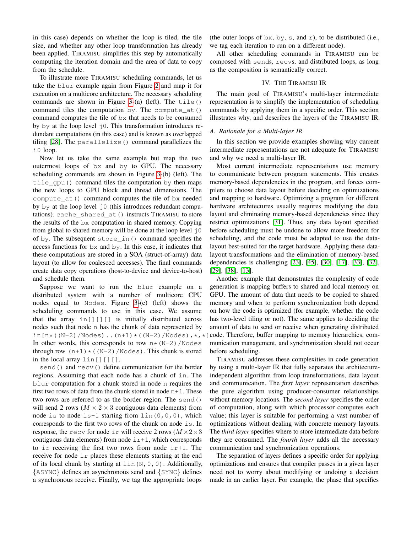in this case) depends on whether the loop is tiled, the tile size, and whether any other loop transformation has already been applied. TIRAMISU simplifies this step by automatically computing the iteration domain and the area of data to copy from the schedule.

To illustrate more TIRAMISU scheduling commands, let us take the blur example again from Figure [2](#page-2-1) and map it for execution on a multicore architecture. The necessary scheduling commands are shown in Figure [3-](#page-4-0)(a) (left). The tile() command tiles the computation by. The compute  $at()$ command computes the tile of bx that needs to be consumed by  $by$  at the loop level  $\exists$ 0. This transformation introduces redundant computations (in this case) and is known as overlapped tiling [\[28\]](#page-12-24). The parallelize() command parallelizes the i0 loop.

Now let us take the same example but map the two outermost loops of bx and by to GPU. The necessary scheduling commands are shown in Figure [3-](#page-4-0)(b) (left). The tile\_gpu() command tiles the computation by then maps the new loops to GPU block and thread dimensions. The compute\_at() command computes the tile of bx needed by by at the loop level  $\dot{0}$  (this introduces redundant computations). cache\_shared\_at() instructs TIRAMISU to store the results of the bx computation in shared memory. Copying from global to shared memory will be done at the loop level  $\dot{0}$ of by. The subsequent store\_in() command specifies the access functions for bx and by. In this case, it indicates that these computations are stored in a SOA (struct-of-array) data layout (to allow for coalesced accesses). The final commands create data copy operations (host-to-device and device-to-host) and schedule them.

Suppose we want to run the blur example on a distributed system with a number of multicore CPU nodes equal to Nodes. Figure [3-](#page-4-0)(c) (left) shows the scheduling commands to use in this case. We assume that the array  $in[j][]$  is initially distributed across nodes such that node n has the chunk of data represented by in[n\*((N-2)/Nodes).. $(n+1)*(N-2)/N$ odes), $*,*$ In other words, this corresponds to row  $n \times (N-2)$  /Nodes through row  $(n+1)*(N-2)/N$ odes). This chunk is stored in the local array lin[][][].

send() and recv() define communication for the border regions. Assuming that each node has a chunk of in. The blur computation for a chunk stored in node n requires the first two rows of data from the chunk stored in node  $n+1$ . These two rows are referred to as the border region. The send() will send 2 rows ( $M \times 2 \times 3$  contiguous data elements) from node is to node is-1 starting from  $lin(0,0,0)$ , which corresponds to the first two rows of the chunk on node is. In response, the recv for node ir will receive 2 rows  $(M \times 2 \times 3)$ contiguous data elements) from node  $i r+1$ , which corresponds to ir receiving the first two rows from node  $ir+1$ . The receive for node ir places these elements starting at the end of its local chunk by starting at  $\text{lin}(N,0,0)$ . Additionally, {ASYNC} defines an asynchronous send and {SYNC} defines a synchronous receive. Finally, we tag the appropriate loops

(the outer loops of  $bx$ ,  $by$ , s, and r), to be distributed (i.e., we tag each iteration to run on a different node).

All other scheduling commands in TIRAMISU can be composed with sends, recvs, and distributed loops, as long as the composition is semantically correct.

## IV. THE TIRAMISU IR

The main goal of TIRAMISU's multi-layer intermediate representation is to simplify the implementation of scheduling commands by applying them in a specific order. This section illustrates why, and describes the layers of the TIRAMISU IR.

## *A. Rationale for a Multi-layer IR*

In this section we provide examples showing why current intermediate representations are not adequate for TIRAMISU and why we need a multi-layer IR.

Most current intermediate representations use memory to communicate between program statements. This creates memory-based dependencies in the program, and forces compilers to choose data layout before deciding on optimizations and mapping to hardware. Optimizing a program for different hardware architectures usually requires modifying the data layout and eliminating memory-based dependencies since they restrict optimizations [\[31\]](#page-12-25). Thus, any data layout specified before scheduling must be undone to allow more freedom for scheduling, and the code must be adapted to use the datalayout best-suited for the target hardware. Applying these datalayout transformations and the elimination of memory-based dependencies is challenging [\[23\]](#page-12-26), [\[45\]](#page-12-27), [\[30\]](#page-12-28), [\[17\]](#page-12-8), [\[33\]](#page-12-29), [\[32\]](#page-12-30), [\[29\]](#page-12-10), [\[38\]](#page-12-11), [\[13\]](#page-11-1).

Another example that demonstrates the complexity of code generation is mapping buffers to shared and local memory on GPU. The amount of data that needs to be copied to shared memory and when to perform synchronization both depend on how the code is optimized (for example, whether the code has two-level tiling or not). The same applies to deciding the amount of data to send or receive when generating distributed code. Therefore, buffer mapping to memory hierarchies, communication management, and synchronization should not occur before scheduling.

TIRAMISU addresses these complexities in code generation by using a multi-layer IR that fully separates the architectureindependent algorithm from loop transformations, data layout and communication. The *first layer* representation describes the pure algorithm using producer-consumer relationships without memory locations. The *second layer* specifies the order of computation, along with which processor computes each value; this layer is suitable for performing a vast number of optimizations without dealing with concrete memory layouts. The *third layer* specifies where to store intermediate data before they are consumed. The *fourth layer* adds all the necessary communication and synchronization operations.

The separation of layers defines a specific order for applying optimizations and ensures that compiler passes in a given layer need not to worry about modifying or undoing a decision made in an earlier layer. For example, the phase that specifies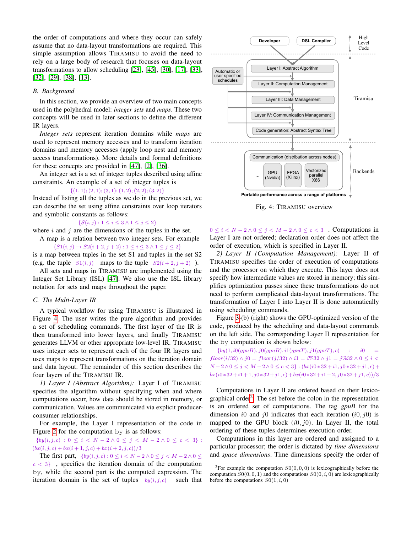the order of computations and where they occur can safely assume that no data-layout transformations are required. This simple assumption allows TIRAMISU to avoid the need to rely on a large body of research that focuses on data-layout transformations to allow scheduling [\[23\]](#page-12-26), [\[45\]](#page-12-27), [\[30\]](#page-12-28), [\[17\]](#page-12-8), [\[33\]](#page-12-29), [\[32\]](#page-12-30), [\[29\]](#page-12-10), [\[38\]](#page-12-11), [\[13\]](#page-11-1).

## *B. Background*

In this section, we provide an overview of two main concepts used in the polyhedral model: *integer sets* and *maps*. These two concepts will be used in later sections to define the different IR layers.

*Integer sets* represent iteration domains while *maps* are used to represent memory accesses and to transform iteration domains and memory accesses (apply loop nest and memory access transformations). More details and formal definitions for these concepts are provided in [\[47\]](#page-12-31), [\[2\]](#page-11-12), [\[36\]](#page-12-32).

An integer set is a set of integer tuples described using affine constraints. An example of a set of integer tuples is

## $\{(1, 1); (2, 1); (3, 1); (1, 2); (2, 2); (3, 2)\}\$

Instead of listing all the tuples as we do in the previous set, we can describe the set using affine constraints over loop iterators and symbolic constants as follows:

# $\{S(i, j): 1 \leq i \leq 3 \land 1 \leq j \leq 2\}$

where  $i$  and  $j$  are the dimensions of the tuples in the set.

A map is a relation between two integer sets. For example  ${S1}(i, j) \rightarrow S2(i + 2, j + 2): 1 \leq i \leq 3 \land 1 \leq j \leq 2$ 

is a map between tuples in the set S1 and tuples in the set S2 (e.g. the tuple  $S1(i, j)$  maps to the tuple  $S2(i + 2, j + 2)$ ).

All sets and maps in TIRAMISU are implemented using the Integer Set Library (ISL) [\[47\]](#page-12-31). We also use the ISL library notation for sets and maps throughout the paper.

## *C. The Multi-Layer IR*

A typical workflow for using TIRAMISU is illustrated in Figure [4.](#page-6-0) The user writes the pure algorithm and provides a set of scheduling commands. The first layer of the IR is then transformed into lower layers, and finally TIRAMISU generates LLVM or other appropriate low-level IR. TIRAMISU uses integer sets to represent each of the four IR layers and uses maps to represent transformations on the iteration domain and data layout. The remainder of this section describes the four layers of the TIRAMISU IR.

*1) Layer I (Abstract Algorithm):* Layer I of TIRAMISU specifies the algorithm without specifying when and where computations occur, how data should be stored in memory, or communication. Values are communicated via explicit producerconsumer relationships.

For example, the Layer I representation of the code in Figure [2](#page-2-1) for the computation by is as follows:

 $\{by(i, j, c) : 0 \leq i \leq N-2 \land 0 \leq j \leq M-2 \land 0 \leq c \leq 3\}$ :  $(bx(i, j, c) + bx(i + 1, j, c) + bx(i + 2, j, c))/3$ 

The first part,  $\{by(i, j, c) : 0 \leq i < N - 2 \land 0 \leq j < M - 2 \land 0 \leq j \leq M - 2 \land 0 \leq j \leq M - 2 \land 0 \leq j \leq M - 2 \land 0 \leq j \leq M - 2 \land 0 \leq j \leq M - 2 \land 0 \leq j \leq M - 2 \land 0 \leq j \leq M - 2 \land 0 \leq j \leq M - 2 \land 0 \leq j \leq M - 2 \land 0 \leq j \leq M - 2 \land 0 \leq j \leq M - 2 \$  $c < 3$ , specifies the iteration domain of the computation by, while the second part is the computed expression. The iteration domain is the set of tuples  $by(i, j, c)$  such that

<span id="page-6-0"></span>

Fig. 4: TIRAMISU overview

 $0 \leq i < N - 2 \land 0 \leq j < M - 2 \land 0 \leq c < 3$ . Computations in Layer I are not ordered; declaration order does not affect the order of execution, which is specified in Layer II.

*2) Layer II (Computation Management):* Layer II of TIRAMISU specifies the order of execution of computations and the processor on which they execute. This layer does not specify how intermediate values are stored in memory; this simplifies optimization passes since these transformations do not need to perform complicated data-layout transformations. The transformation of Layer I into Layer II is done automatically using scheduling commands.

Figure [3-](#page-4-0)(b) (right) shows the GPU-optimized version of the code, produced by the scheduling and data-layout commands on the left side. The corresponding Layer II representation for the by computation is shown below:

 ${by(1, i0(gpuB), j0(gpuB), i1(gpuT), j1(gpuT), c)}$  : i0  $floor(i/32) \wedge j0 = floor(j/32) \wedge i1 = i\%32 \wedge j1 = j\%32 \wedge 0 \leq i < j$  $N-2 \wedge 0 ≤ j < M-2 \wedge 0 ≤ c < 3$  :  $(bx(i0*32+i1,j0*32+j1,c) +$  $bx(i0*32+i1+1, j0*32+j1, c)+bx(i0*32+i1+2, j0*32+j1, c))/3$ 

Computations in Layer II are ordered based on their lexico-graphical order<sup>[2](#page-6-1)</sup>. The set before the colon in the representation is an ordered set of computations. The tag *gpuB* for the dimension i0 and j0 indicates that each iteration  $(i0, j0)$  is mapped to the GPU block  $(i0, j0)$ . In Layer II, the total ordering of these tuples determines execution order.

Computations in this layer are ordered and assigned to a particular processor; the order is dictated by *time dimensions* and *space dimensions*. Time dimensions specify the order of

<span id="page-6-1"></span><sup>&</sup>lt;sup>2</sup>For example the computation  $S(0, 0, 0)$  is lexicographically before the computation  $S0(0, 0, 1)$  and the computations  $S0(0, i, 0)$  are lexicographically before the computations  $S0(1, i, 0)$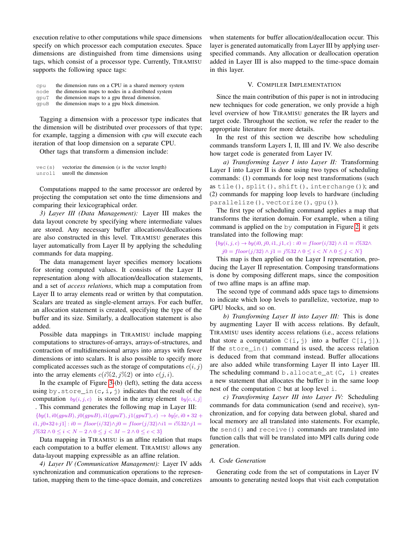execution relative to other computations while space dimensions specify on which processor each computation executes. Space dimensions are distinguished from time dimensions using tags, which consist of a processor type. Currently, TIRAMISU supports the following space tags:

| cpu  | the dimension runs on a CPU in a shared memory system |
|------|-------------------------------------------------------|
| node | the dimension maps to nodes in a distributed system   |
| qpuT | the dimension maps to a gpu thread dimension.         |
| qpuB | the dimension maps to a gpu block dimension.          |

Tagging a dimension with a processor type indicates that the dimension will be distributed over processors of that type; for example, tagging a dimension with *cpu* will execute each iteration of that loop dimension on a separate CPU.

Other tags that transform a dimension include:

vec(s) vectorize the dimension (*s* is the vector length) unroll unroll the dimension

Computations mapped to the same processor are ordered by projecting the computation set onto the time dimensions and comparing their lexicographical order.

*3) Layer III (Data Management):* Layer III makes the data layout concrete by specifying where intermediate values are stored. Any necessary buffer allocations/deallocations are also constructed in this level. TIRAMISU generates this layer automatically from Layer II by applying the scheduling commands for data mapping.

The data management layer specifies memory locations for storing computed values. It consists of the Layer II representation along with allocation/deallocation statements, and a set of *access relations*, which map a computation from Layer II to array elements read or written by that computation. Scalars are treated as single-element arrays. For each buffer, an allocation statement is created, specifying the type of the buffer and its size. Similarly, a deallocation statement is also added.

Possible data mappings in TIRAMISU include mapping computations to structures-of-arrays, arrays-of-structures, and contraction of multidimensional arrays into arrays with fewer dimensions or into scalars. It is also possible to specify more complicated accesses such as the storage of computations  $c(i, j)$ into the array elements  $c(i\%2, j\%2)$  or into  $c(j, i)$ .

In the example of Figure [3-](#page-4-0)(b) (left), setting the data access using by.store\_in(c, i, j) indicates that the result of the computation  $by(i, j, c)$  is stored in the array element  $by[c, i, j]$ . This command generates the following map in Layer III:

 ${by(1, i0(qpuB), j0(qpuB), i1(qpuT), j1(qpuT), c) \rightarrow by[c, i0*32 +}$  $i1, j0*32+j1$ ] :  $i0 = floor(i/32) \land j0 = floor(j/32) \land i1 = i\%32 \land j1 = j\%32$  $j\%32 \land 0 \leq i < N - 2 \land 0 \leq j < M - 2 \land 0 \leq c < 3$ 

Data mapping in TIRAMISU is an affine relation that maps each computation to a buffer element. TIRAMISU allows any data-layout mapping expressible as an affine relation.

*4) Layer IV (Communication Management):* Layer IV adds synchronization and communication operations to the representation, mapping them to the time-space domain, and concretizes

when statements for buffer allocation/deallocation occur. This layer is generated automatically from Layer III by applying userspecified commands. Any allocation or deallocation operation added in Layer III is also mapped to the time-space domain in this layer.

## V. COMPILER IMPLEMENTATION

Since the main contribution of this paper is not in introducing new techniques for code generation, we only provide a high level overview of how TIRAMISU generates the IR layers and target code. Throughout the section, we refer the reader to the appropriate literature for more details.

In the rest of this section we describe how scheduling commands transform Layers I, II, III and IV. We also describe how target code is generated from Layer IV.

*a) Transforming Layer I into Layer II:* Transforming Layer I into Layer II is done using two types of scheduling commands: (1) commands for loop nest transformations (such as tile(), split(), shift(), interchange()); and (2) commands for mapping loop levels to hardware (including parallelize(), vectorize(), gpu()).

The first type of scheduling command applies a map that transforms the iteration domain. For example, when a tiling command is applied on the by computation in Figure [2,](#page-2-1) it gets translated into the following map:

 ${by(i, j, c) \rightarrow by(i0, j0, i1, j1, c) : i0 = floor(i/32) \land i1 = i\%32}$  $j0 = floor(j/32) \land j1 = j\%32 \land 0 \le i < N \land 0 \le j < N$ }

This map is then applied on the Layer I representation, producing the Layer II representation. Composing transformations is done by composing different maps, since the composition of two affine maps is an affine map.

The second type of command adds space tags to dimensions to indicate which loop levels to parallelize, vectorize, map to GPU blocks, and so on.

*b) Transforming Layer II into Layer III:* This is done by augmenting Layer II with access relations. By default, TIRAMISU uses identity access relations (i.e., access relations that store a computation  $C(i, j)$  into a buffer  $C[i, j]$ ). If the store\_in() command is used, the access relation is deduced from that command instead. Buffer allocations are also added while transforming Layer II into Layer III. The scheduling command b.allocate\_at( $C$ , i) creates a new statement that allocates the buffer b in the same loop nest of the computation C but at loop level i.

*c) Transforming Layer III into Layer IV:* Scheduling commands for data communication (send and receive), synchronization, and for copying data between global, shared and local memory are all translated into statements. For example, the send() and receive() commands are translated into function calls that will be translated into MPI calls during code generation.

## *A. Code Generation*

Generating code from the set of computations in Layer IV amounts to generating nested loops that visit each computation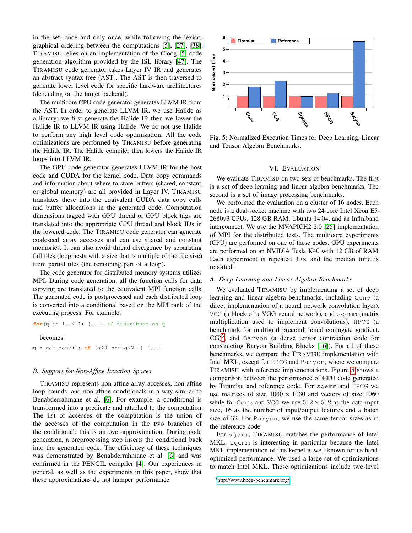in the set, once and only once, while following the lexicographical ordering between the computations [\[5\]](#page-11-13), [\[27\]](#page-12-6), [\[38\]](#page-12-11). TIRAMISU relies on an implementation of the Cloog [\[5\]](#page-11-13) code generation algorithm provided by the ISL library [\[47\]](#page-12-31). The TIRAMISU code generator takes Layer IV IR and generates an abstract syntax tree (AST). The AST is then traversed to generate lower level code for specific hardware architectures (depending on the target backend).

The multicore CPU code generator generates LLVM IR from the AST. In order to generate LLVM IR, we use Halide as a library: we first generate the Halide IR then we lower the Halide IR to LLVM IR using Halide. We do not use Halide to perform any high level code optimization. All the code optimizations are performed by TIRAMISU before generating the Halide IR. The Halide compiler then lowers the Halide IR loops into LLVM IR.

The GPU code generator generates LLVM IR for the host code and CUDA for the kernel code. Data copy commands and information about where to store buffers (shared, constant, or global memory) are all provided in Layer IV. TIRAMISU translates these into the equivalent CUDA data copy calls and buffer allocations in the generated code. Computation dimensions tagged with GPU thread or GPU block tags are translated into the appropriate GPU thread and block IDs in the lowered code. The TIRAMISU code generator can generate coalesced array accesses and can use shared and constant memories. It can also avoid thread divergence by separating full tiles (loop nests with a size that is multiple of the tile size) from partial tiles (the remaining part of a loop).

The code generator for distributed memory systems utilizes MPI. During code generation, all the function calls for data copying are translated to the equivalent MPI function calls. The generated code is postprocessed and each distributed loop is converted into a conditional based on the MPI rank of the executing process. For example:

**for**(q in 1..N-1) {...} // distribute on q

becomes:

q = get\_rank(); **if** (q≥1 and q<N-1) {...}

#### *B. Support for Non-Affine Iteration Spaces*

TIRAMISU represents non-affine array accesses, non-affine loop bounds, and non-affine conditionals in a way similar to Benabderrahmane et al. [\[6\]](#page-11-14). For example, a conditional is transformed into a predicate and attached to the computation. The list of accesses of the computation is the union of the accesses of the computation in the two branches of the conditional; this is an over-approximation. During code generation, a preprocessing step inserts the conditional back into the generated code. The efficiency of these techniques was demonstrated by Benabderrahmane et al. [\[6\]](#page-11-14) and was confirmed in the PENCIL compiler [\[4\]](#page-11-4). Our experiences in general, as well as the experiments in this paper, show that these approximations do not hamper performance.

<span id="page-8-1"></span>

Fig. 5: Normalized Execution Times for Deep Learning, Linear and Tensor Algebra Benchmarks.

#### VI. EVALUATION

We evaluate TIRAMISU on two sets of benchmarks. The first is a set of deep learning and linear algebra benchmarks. The second is a set of image processing benchmarks.

We performed the evaluation on a cluster of 16 nodes. Each node is a dual-socket machine with two 24-core Intel Xeon E5- 2680v3 CPUs, 128 GB RAM, Ubuntu 14.04, and an Infiniband interconnect. We use the MVAPICH2 2.0 [\[25\]](#page-12-33) implementation of MPI for the distributed tests. The multicore experiments (CPU) are performed on one of these nodes. GPU experiments are performed on an NVIDIA Tesla K40 with 12 GB of RAM. Each experiment is repeated  $30\times$  and the median time is reported.

#### *A. Deep Learning and Linear Algebra Benchmarks*

We evaluated TIRAMISU by implementing a set of deep learning and linear algebra benchmarks, including Conv (a direct implementation of a neural network convolution layer), VGG (a block of a VGG neural network), and sgemm (matrix multiplication used to implement convolutions), HPCG (a benchmark for multigrid preconditioned conjugate gradient,  $CG)^3$  $CG)^3$ , and Baryon (a dense tensor contraction code for constructing Baryon Building Blocks [\[16\]](#page-11-15)). For all of these benchmarks, we compare the TIRAMISU implementation with Intel MKL, except for HPCG and Baryon, where we compare TIRAMISU with reference implementations. Figure [5](#page-8-1) shows a comparison between the performance of CPU code generated by Tiramisu and reference code. For sgemm and HPCG we use matrices of size  $1060 \times 1060$  and vectors of size 1060 while for Conv and VGG we use  $512 \times 512$  as the data input size, 16 as the number of input/output features and a batch size of 32. For Baryon, we use the same tensor sizes as in the reference code.

For sgemm, TIRAMISU matches the performance of Intel MKL. sgemm is interesting in particular because the Intel MKL implementation of this kernel is well-known for its handoptimized performance. We used a large set of optimizations to match Intel MKL. These optimizations include two-level

<span id="page-8-0"></span><sup>3</sup><http://www.hpcg-benchmark.org/>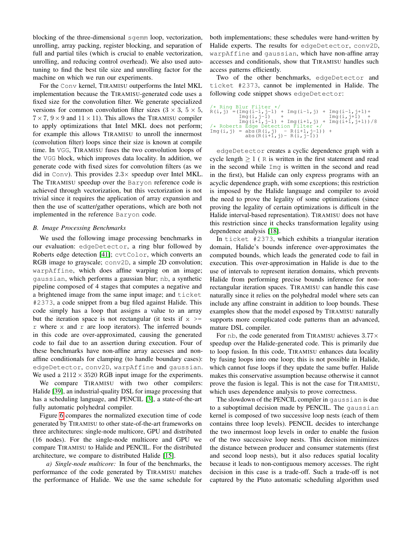blocking of the three-dimensional sgemm loop, vectorization, unrolling, array packing, register blocking, and separation of full and partial tiles (which is crucial to enable vectorization, unrolling, and reducing control overhead). We also used autotuning to find the best tile size and unrolling factor for the machine on which we run our experiments.

For the Conv kernel, TIRAMISU outperforms the Intel MKL implementation because the TIRAMISU-generated code uses a fixed size for the convolution filter. We generate specialized versions for common convolution filter sizes  $(3 \times 3, 5 \times 5,$  $7 \times 7$ ,  $9 \times 9$  and  $11 \times 11$ ). This allows the TIRAMISU compiler to apply optimizations that Intel MKL does not perform; for example this allows TIRAMISU to unroll the innermost (convolution filter) loops since their size is known at compile time. In VGG, TIRAMISU fuses the two convolution loops of the VGG block, which improves data locality. In addition, we generate code with fixed sizes for convolution filters (as we did in Conv). This provides  $2.3 \times$  speedup over Intel MKL. The TIRAMISU speedup over the Baryon reference code is achieved through vectorization, but this vectorization is not trivial since it requires the application of array expansion and then the use of scatter/gather operations, which are both not implemented in the reference Baryon code.

## *B. Image Processing Benchmarks*

We used the following image processing benchmarks in our evaluation: edgeDetector, a ring blur followed by Roberts edge detection [\[41\]](#page-12-34); cvtColor, which converts an RGB image to grayscale; conv2D, a simple 2D convolution; warpAffine, which does affine warping on an image; gaussian, which performs a gaussian blur; nb, a synthetic pipeline composed of 4 stages that computes a negative and a brightened image from the same input image; and ticket #2373, a code snippet from a bug filed against Halide. This code simply has a loop that assigns a value to an array but the iteration space is not rectangular (it tests if  $x \ge$  $r$  where x and  $r$  are loop iterators). The inferred bounds in this code are over-approximated, causing the generated code to fail due to an assertion during execution. Four of these benchmarks have non-affine array accesses and nonaffine conditionals for clamping (to handle boundary cases): edgeDetector, conv2D, warpAffine and gaussian. We used a  $2112 \times 3520$  RGB input image for the experiments.

We compare TIRAMISU with two other compilers: Halide [\[39\]](#page-12-15), an industrial-quality DSL for image processing that has a scheduling language, and PENCIL [\[3\]](#page-11-5), a state-of-the-art fully automatic polyhedral compiler.

Figure [6](#page-10-0) compares the normalized execution time of code generated by TIRAMISU to other state-of-the-art frameworks on three architectures: single-node multicore, GPU and distributed (16 nodes). For the single-node multicore and GPU we compare TIRAMISU to Halide and PENCIL. For the distributed architecture, we compare to distributed Halide [\[15\]](#page-11-8).

*a) Single-node multicore:* In four of the benchmarks, the performance of the code generated by TIRAMISU matches the performance of Halide. We use the same schedule for both implementations; these schedules were hand-written by Halide experts. The results for edgeDetector, conv2D, warpAffine and gaussian, which have non-affine array accesses and conditionals, show that TIRAMISU handles such access patterns efficiently.

Two of the other benchmarks, edgeDetector and ticket #2373, cannot be implemented in Halide. The following code snippet shows edgeDetector:

```
/* Ring Blur Filter *<br>R(i, j) = (Img(i-1, j-1)<br>Img(i, j-1)
                                                          \begin{array}{cccc} +&\text{Img}(i-1,j) & +&\text{Img}(i-1,j+1)+ & +& \text{Img}(i,j+1) & +& \end{array}\text{Im}g(i,j-1) + \text{Im}g(i+1,j) + \text{Im}g(i+1,j) + \text{Im}g(i+1,j+1))/8<br>
/* Roberts Edge Detection Filter */
\text{Img}(i, j) = \text{abs}(R(i, j) - R(i+1, j-1)) + \text{abs}(R(i+1, j) - R(i, j-1))
```
edgeDetector creates a cyclic dependence graph with a cycle length  $\geq 1$  ( R is written in the first statement and read in the second while Img is written in the second and read in the first), but Halide can only express programs with an acyclic dependence graph, with some exceptions; this restriction is imposed by the Halide language and compiler to avoid the need to prove the legality of some optimizations (since proving the legality of certain optimizations is difficult in the Halide interval-based representation). TIRAMISU does not have this restriction since it checks transformation legality using dependence analysis [\[18\]](#page-12-35).

In ticket #2373, which exhibits a triangular iteration domain, Halide's bounds inference over-approximates the computed bounds, which leads the generated code to fail in execution. This over-approximation in Halide is due to the use of intervals to represent iteration domains, which prevents Halide from performing precise bounds inference for nonrectangular iteration spaces. TIRAMISU can handle this case naturally since it relies on the polyhedral model where sets can include any affine constraint in addition to loop bounds. These examples show that the model exposed by TIRAMISU naturally supports more complicated code patterns than an advanced, mature DSL compiler.

For nb, the code generated from TIRAMISU achieves  $3.77\times$ speedup over the Halide-generated code. This is primarily due to loop fusion. In this code, TIRAMISU enhances data locality by fusing loops into one loop; this is not possible in Halide, which cannot fuse loops if they update the same buffer. Halide makes this conservative assumption because otherwise it cannot prove the fusion is legal. This is not the case for TIRAMISU, which uses dependence analysis to prove correctness.

The slowdown of the PENCIL compiler in gaussian is due to a suboptimal decision made by PENCIL. The gaussian kernel is composed of two successive loop nests (each of them contains three loop levels). PENCIL decides to interchange the two innermost loop levels in order to enable the fusion of the two successive loop nests. This decision minimizes the distance between producer and consumer statements (first and second loop nests), but it also reduces spatial locality because it leads to non-contiguous memory accesses. The right decision in this case is a trade-off. Such a trade-off is not captured by the Pluto automatic scheduling algorithm used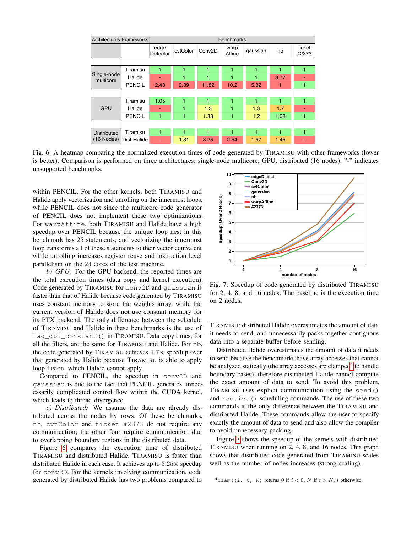<span id="page-10-0"></span>

| Architectures Frameworks |               |                  | <b>Benchmarks</b> |                     |                |          |      |                 |  |
|--------------------------|---------------|------------------|-------------------|---------------------|----------------|----------|------|-----------------|--|
|                          |               | edge<br>Detector | cytColor          | Conv <sub>2</sub> D | warp<br>Affine | gaussian | nb   | ticket<br>#2373 |  |
|                          |               |                  |                   |                     |                |          |      |                 |  |
|                          | Tiramisu      | 1                |                   |                     |                |          |      |                 |  |
| Single-node<br>multicore | Halide        |                  |                   |                     |                |          | 3.77 |                 |  |
|                          | <b>PENCIL</b> | 2.43             | 2.39              | 11.82               | 10.2           | 5.82     |      | 1               |  |
|                          |               |                  |                   |                     |                |          |      |                 |  |
|                          | Tiramisu      | 1.05             | 1                 | 1                   |                | 1        | 4    | 1               |  |
| <b>GPU</b>               | Halide        | ۰                | 1                 | 1.3                 |                | 1.3      | 1.7  |                 |  |
|                          | <b>PENCIL</b> | 1                | 1                 | 1.33                |                | 1.2      | 1.02 | 1               |  |
|                          |               |                  |                   |                     |                |          |      |                 |  |
| <b>Distributed</b>       | Tiramisu      | 1                | 1                 |                     |                | 1        |      | 1               |  |
| $(16$ Nodes)             | Dist-Halide   | ۰                | 1.31              | 3.25                | 2.54           | 1.57     | 1.45 |                 |  |

Fig. 6: A heatmap comparing the normalized execution times of code generated by TIRAMISU with other frameworks (lower is better). Comparison is performed on three architectures: single-node multicore, GPU, distributed (16 nodes). "-" indicates unsupported benchmarks.

within PENCIL. For the other kernels, both TIRAMISU and Halide apply vectorization and unrolling on the innermost loops, while PENCIL does not since the multicore code generator of PENCIL does not implement these two optimizations. For warpAffine, both TIRAMISU and Halide have a high speedup over PENCIL because the unique loop nest in this benchmark has 25 statements, and vectorizing the innermost loop transforms all of these statements to their vector equivalent while unrolling increases register reuse and instruction level parallelism on the 24 cores of the test machine.

*b) GPU:* For the GPU backend, the reported times are the total execution times (data copy and kernel execution). Code generated by TIRAMISU for conv2D and gaussian is faster than that of Halide because code generated by TIRAMISU uses constant memory to store the weights array, while the current version of Halide does not use constant memory for its PTX backend. The only difference between the schedule of TIRAMISU and Halide in these benchmarks is the use of tag\_gpu\_constant() in TIRAMISU. Data copy times, for all the filters, are the same for TIRAMISU and Halide. For nb, the code generated by TIRAMISU achieves  $1.7\times$  speedup over that generated by Halide because TIRAMISU is able to apply loop fusion, which Halide cannot apply.

Compared to PENCIL, the speedup in conv2D and gaussian is due to the fact that PENCIL generates unnecessarily complicated control flow within the CUDA kernel, which leads to thread divergence.

*c) Distributed:* We assume the data are already distributed across the nodes by rows. Of these benchmarks, nb, cvtColor and ticket #2373 do not require any communication; the other four require communication due to overlapping boundary regions in the distributed data.

Figure [6](#page-10-0) compares the execution time of distributed TIRAMISU and distributed Halide. TIRAMISU is faster than distributed Halide in each case. It achieves up to  $3.25\times$  speedup for conv2D. For the kernels involving communication, code generated by distributed Halide has two problems compared to

<span id="page-10-2"></span>

Fig. 7: Speedup of code generated by distributed TIRAMISU for 2, 4, 8, and 16 nodes. The baseline is the execution time on 2 nodes.

TIRAMISU: distributed Halide overestimates the amount of data it needs to send, and unnecessarily packs together contiguous data into a separate buffer before sending.

Distributed Halide overestimates the amount of data it needs to send because the benchmarks have array accesses that cannot be analyzed statically (the array accesses are clamped<sup>[4](#page-10-1)</sup> to handle boundary cases), therefore distributed Halide cannot compute the exact amount of data to send. To avoid this problem, TIRAMISU uses explicit communication using the send() and receive() scheduling commands. The use of these two commands is the only difference between the TIRAMISU and distributed Halide. These commands allow the user to specify exactly the amount of data to send and also allow the compiler to avoid unnecessary packing.

Figure [7](#page-10-2) shows the speedup of the kernels with distributed TIRAMISU when running on 2, 4, 8, and 16 nodes. This graph shows that distributed code generated from TIRAMISU scales well as the number of nodes increases (strong scaling).

<span id="page-10-1"></span><sup>4</sup>clamp(i, 0, N) returns 0 if  $i < 0$ , N if  $i > N$ , i otherwise.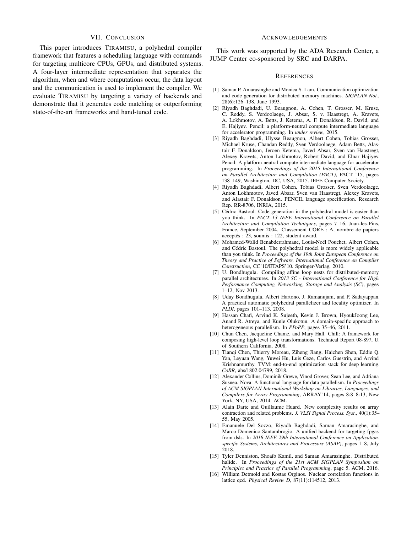## VII. CONCLUSION

This paper introduces TIRAMISU, a polyhedral compiler framework that features a scheduling language with commands for targeting multicore CPUs, GPUs, and distributed systems. A four-layer intermediate representation that separates the algorithm, when and where computations occur, the data layout and the communication is used to implement the compiler. We evaluate TIRAMISU by targeting a variety of backends and demonstrate that it generates code matching or outperforming state-of-the-art frameworks and hand-tuned code.

## ACKNOWLEDGEMENTS

This work was supported by the ADA Research Center, a JUMP Center co-sponsored by SRC and DARPA.

#### **REFERENCES**

- <span id="page-11-6"></span>[1] Saman P. Amarasinghe and Monica S. Lam. Communication optimization and code generation for distributed memory machines. *SIGPLAN Not.*, 28(6):126–138, June 1993.
- <span id="page-11-12"></span>[2] Riyadh Baghdadi, U. Beaugnon, A. Cohen, T. Grosser, M. Kruse, C. Reddy, S. Verdoolaege, J. Absar, S. v. Haastregt, A. Kravets, A. Lokhmotov, A. Betts, J. Ketema, A. F. Donaldson, R. David, and E. Hajiyev. Pencil: a platform-neutral compute intermediate language for accelerator programming. In *under review*, 2015.
- <span id="page-11-5"></span>[3] Riyadh Baghdadi, Ulysse Beaugnon, Albert Cohen, Tobias Grosser, Michael Kruse, Chandan Reddy, Sven Verdoolaege, Adam Betts, Alastair F. Donaldson, Jeroen Ketema, Javed Absar, Sven van Haastregt, Alexey Kravets, Anton Lokhmotov, Robert David, and Elnar Hajiyev. Pencil: A platform-neutral compute intermediate language for accelerator programming. In *Proceedings of the 2015 International Conference on Parallel Architecture and Compilation (PACT)*, PACT '15, pages 138–149, Washington, DC, USA, 2015. IEEE Computer Society.
- <span id="page-11-4"></span>[4] Riyadh Baghdadi, Albert Cohen, Tobias Grosser, Sven Verdoolaege, Anton Lokhmotov, Javed Absar, Sven van Haastregt, Alexey Kravets, and Alastair F. Donaldson. PENCIL language specification. Research Rep. RR-8706, INRIA, 2015.
- <span id="page-11-13"></span>[5] Cédric Bastoul. Code generation in the polyhedral model is easier than you think. In *PACT–13 IEEE International Conference on Parallel Architecture and Compilation Techniques*, pages 7–16, Juan-les-Pins, France, September 2004. Classement CORE : A, nombre de papiers acceptés : 23, soumis : 122, student award.
- <span id="page-11-14"></span>[6] Mohamed-Walid Benabderrahmane, Louis-Noël Pouchet, Albert Cohen, and Cédric Bastoul. The polyhedral model is more widely applicable than you think. In *Proceedings of the 19th Joint European Conference on Theory and Practice of Software, International Conference on Compiler Construction*, CC'10/ETAPS'10. Springer-Verlag, 2010.
- <span id="page-11-7"></span>[7] U. Bondhugula. Compiling affine loop nests for distributed-memory parallel architectures. In *2013 SC - International Conference for High Performance Computing, Networking, Storage and Analysis (SC)*, pages 1–12, Nov 2013.
- <span id="page-11-0"></span>[8] Uday Bondhugula, Albert Hartono, J. Ramanujam, and P. Sadayappan. A practical automatic polyhedral parallelizer and locality optimizer. In *PLDI*, pages 101–113, 2008.
- <span id="page-11-10"></span>[9] Hassan Chafi, Arvind K. Sujeeth, Kevin J. Brown, HyoukJoong Lee, Anand R. Atreya, and Kunle Olukotun. A domain-specific approach to heterogeneous parallelism. In *PPoPP*, pages 35–46, 2011.
- <span id="page-11-2"></span>[10] Chun Chen, Jacqueline Chame, and Mary Hall. Chill: A framework for composing high-level loop transformations. Technical Report 08-897, U. of Southern California, 2008.
- <span id="page-11-9"></span>[11] Tianqi Chen, Thierry Moreau, Ziheng Jiang, Haichen Shen, Eddie Q. Yan, Leyuan Wang, Yuwei Hu, Luis Ceze, Carlos Guestrin, and Arvind Krishnamurthy. TVM: end-to-end optimization stack for deep learning. *CoRR*, abs/1802.04799, 2018.
- <span id="page-11-11"></span>[12] Alexander Collins, Dominik Grewe, Vinod Grover, Sean Lee, and Adriana Susnea. Nova: A functional language for data parallelism. In *Proceedings of ACM SIGPLAN International Workshop on Libraries, Languages, and Compilers for Array Programming*, ARRAY'14, pages 8:8–8:13, New York, NY, USA, 2014. ACM.
- <span id="page-11-1"></span>[13] Alain Darte and Guillaume Huard. New complexity results on array contraction and related problems. *J. VLSI Signal Process. Syst.*, 40(1):35– 55, May 2005.
- <span id="page-11-3"></span>[14] Emanuele Del Sozzo, Riyadh Baghdadi, Saman Amarasinghe, and Marco Domenico Santambrogio. A unified backend for targeting fpgas from dsls. In *2018 IEEE 29th International Conference on Applicationspecific Systems, Architectures and Processors (ASAP)*, pages 1–8, July 2018.
- <span id="page-11-8"></span>[15] Tyler Denniston, Shoaib Kamil, and Saman Amarasinghe. Distributed halide. In *Proceedings of the 21st ACM SIGPLAN Symposium on Principles and Practice of Parallel Programming*, page 5. ACM, 2016.
- <span id="page-11-15"></span>[16] William Detmold and Kostas Orginos. Nuclear correlation functions in lattice qcd. *Physical Review D*, 87(11):114512, 2013.